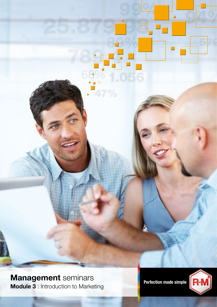

Management seminars<br>National Perfection made simple **Module 3** : Introduction to Marketing